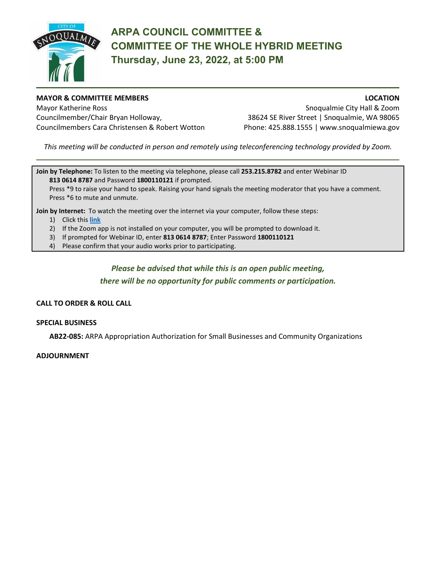

# **ARPA COUNCIL COMMITTEE & COMMITTEE OF THE WHOLE HYBRID MEETING Thursday, June 23, 2022, at 5:00 PM**

#### **MAYOR & COMMITTEE MEMBERS LOCATION**

Mayor Katherine Ross Snoqualmie City Hall & Zoom Councilmember/Chair Bryan Holloway, 38624 SE River Street | Snoqualmie, WA 98065 Councilmembers Cara Christensen & Robert Wotton Phone: 425.888.1555 | www.snoqualmiewa.gov

*This meeting will be conducted in person and remotely using teleconferencing technology provided by Zoom.*

**Join by Telephone:** To listen to the meeting via telephone, please call **253.215.8782** and enter Webinar ID **813 0614 8787** and Password **1800110121** if prompted.

Press \*9 to raise your hand to speak. Raising your hand signals the meeting moderator that you have a comment. Press \*6 to mute and unmute.

**Join by Internet:** To watch the meeting over the internet via your computer, follow these steps:

- 1) Click this **[link](https://us02web.zoom.us/j/81306148787?pwd=aDlJMVhPS1ppTmhFSXJVSGhmako1QT09)**
- 2) If the Zoom app is not installed on your computer, you will be prompted to download it.
- 3) If prompted for Webinar ID, enter **813 0614 8787**; Enter Password **1800110121**
- 4) Please confirm that your audio works prior to participating.

## *Please be advised that while this is an open public meeting,*

*there will be no opportunity for public comments or participation.*

### **CALL TO ORDER & ROLL CALL**

#### **SPECIAL BUSINESS**

**AB22-085:** ARPA Appropriation Authorization for Small Businesses and Community Organizations

#### **ADJOURNMENT**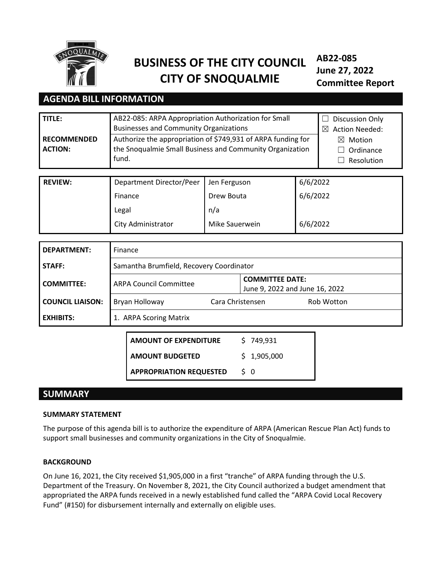

# **BUSINESS OF THE CITY COUNCIL CITY OF SNOQUALMIE**

**AB22-085 June 27, 2022 Committee Report**

## **AGENDA BILL INFORMATION**

| TITLE:<br><b>RECOMMENDED</b> | AB22-085: ARPA Appropriation Authorization for Small<br><b>Businesses and Community Organizations</b><br>Authorize the appropriation of \$749,931 of ARPA funding for | Discussion Only<br><b>Action Needed:</b><br>⊠<br>Motion<br>$\bowtie$ |          |  |
|------------------------------|-----------------------------------------------------------------------------------------------------------------------------------------------------------------------|----------------------------------------------------------------------|----------|--|
| <b>ACTION:</b>               | the Snoqualmie Small Business and Community Organization<br>fund.                                                                                                     | Ordinance<br>Resolution                                              |          |  |
| <b>REVIEW:</b>               | Department Director/Peer                                                                                                                                              | Jen Ferguson                                                         | 6/6/2022 |  |
|                              |                                                                                                                                                                       |                                                                      |          |  |
|                              | Finance                                                                                                                                                               | Drew Bouta                                                           | 6/6/2022 |  |
|                              | Legal                                                                                                                                                                 |                                                                      |          |  |
|                              | 6/6/2022<br>City Administrator<br>Mike Sauerwein                                                                                                                      |                                                                      |          |  |

| DEPARTMENT:             | Finance                                  |                                                          |  |            |  |
|-------------------------|------------------------------------------|----------------------------------------------------------|--|------------|--|
| <b>STAFF:</b>           | Samantha Brumfield, Recovery Coordinator |                                                          |  |            |  |
| <b>COMMITTEE:</b>       | <b>ARPA Council Committee</b>            | <b>COMMITTEE DATE:</b><br>June 9, 2022 and June 16, 2022 |  |            |  |
| <b>COUNCIL LIAISON:</b> | Bryan Holloway<br>Cara Christensen       |                                                          |  | Rob Wotton |  |
| l exhibits:             | 1. ARPA Scoring Matrix                   |                                                          |  |            |  |

**AMOUNT OF EXPENDITURE \$749,931 AMOUNT BUDGETED** \$ 1,905,000 **APPROPRIATION REQUESTED \$ 0** 

## **SUMMARY**

## **SUMMARY STATEMENT**

The purpose of this agenda bill is to authorize the expenditure of ARPA (American Rescue Plan Act) funds to support small businesses and community organizations in the City of Snoqualmie.

## **BACKGROUND**

On June 16, 2021, the City received \$1,905,000 in a first "tranche" of ARPA funding through the U.S. Department of the Treasury. On November 8, 2021, the City Council authorized a budget amendment that appropriated the ARPA funds received in a newly established fund called the "ARPA Covid Local Recovery Fund" (#150) for disbursement internally and externally on eligible uses.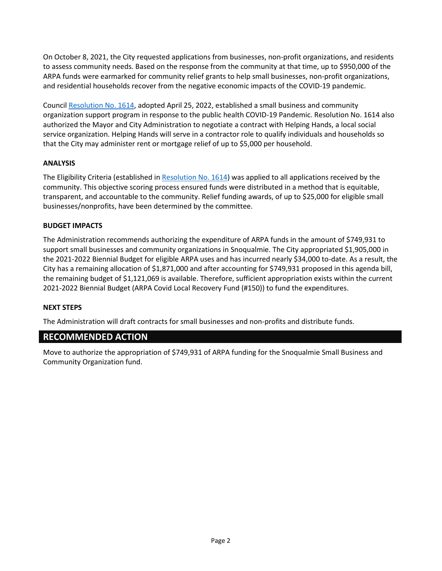On October 8, 2021, the City requested applications from businesses, non-profit organizations, and residents to assess community needs. Based on the response from the community at that time, up to \$950,000 of the ARPA funds were earmarked for community relief grants to help small businesses, non-profit organizations, and residential households recover from the negative economic impacts of the COVID-19 pandemic.

Council [Resolution No. 1614,](https://library.municode.com/wa/snoqualmie/munidocs/munidocs?nodeId=4a28759c50903) adopted April 25, 2022, established a small business and community organization support program in response to the public health COVID-19 Pandemic. Resolution No. 1614 also authorized the Mayor and City Administration to negotiate a contract with Helping Hands, a local social service organization. Helping Hands will serve in a contractor role to qualify individuals and households so that the City may administer rent or mortgage relief of up to \$5,000 per household.

## **ANALYSIS**

The Eligibility Criteria (established in [Resolution No. 1614\)](https://library.municode.com/wa/snoqualmie/munidocs/munidocs?nodeId=4a28759c50903) was applied to all applications received by the community. This objective scoring process ensured funds were distributed in a method that is equitable, transparent, and accountable to the community. Relief funding awards, of up to \$25,000 for eligible small businesses/nonprofits, have been determined by the committee.

## **BUDGET IMPACTS**

The Administration recommends authorizing the expenditure of ARPA funds in the amount of \$749,931 to support small businesses and community organizations in Snoqualmie. The City appropriated \$1,905,000 in the 2021-2022 Biennial Budget for eligible ARPA uses and has incurred nearly \$34,000 to-date. As a result, the City has a remaining allocation of \$1,871,000 and after accounting for \$749,931 proposed in this agenda bill, the remaining budget of \$1,121,069 is available. Therefore, sufficient appropriation exists within the current 2021-2022 Biennial Budget (ARPA Covid Local Recovery Fund (#150)) to fund the expenditures.

## **NEXT STEPS**

The Administration will draft contracts for small businesses and non-profits and distribute funds.

## **RECOMMENDED ACTION**

Move to authorize the appropriation of \$749,931 of ARPA funding for the Snoqualmie Small Business and Community Organization fund.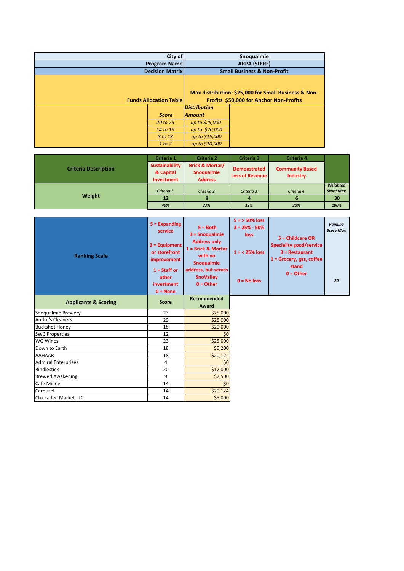| City of                |                               | Snoqualmie                              |                                                      |
|------------------------|-------------------------------|-----------------------------------------|------------------------------------------------------|
| <b>Program Name</b>    |                               | <b>ARPA (SLFRF)</b>                     |                                                      |
| <b>Decision Matrix</b> |                               | <b>Small Business &amp; Non-Profit</b>  |                                                      |
|                        |                               |                                         |                                                      |
|                        |                               |                                         |                                                      |
|                        |                               |                                         | Max distribution: \$25,000 for Small Business & Non- |
|                        | <b>Funds Allocation Table</b> | Profits \$50,000 for Anchor Non-Profits |                                                      |
|                        |                               | <b>Distribution</b>                     |                                                      |
|                        | <b>Score</b>                  | <b>Amount</b>                           |                                                      |
|                        | 20 to 25                      | up to \$25,000                          |                                                      |
|                        | 14 to 19                      | up to \$20,000                          |                                                      |
|                        | 8 to 13                       | up to \$15,000                          |                                                      |
|                        | 1 to 7                        | up to \$10,000                          |                                                      |

|                             | Criteria 1                         | <b>Criteria 2</b>                               | Criteria 3                                    | Criteria 4                                |                  |
|-----------------------------|------------------------------------|-------------------------------------------------|-----------------------------------------------|-------------------------------------------|------------------|
| <b>Criteria Description</b> | <b>Sustainability</b><br>& Capital | <b>Brick &amp; Mortar/</b><br><b>Snoqualmie</b> | <b>Demonstrated</b><br><b>Loss of Revenue</b> | <b>Community Based</b><br><b>Industry</b> |                  |
|                             | Investment                         | <b>Address</b>                                  |                                               |                                           |                  |
|                             |                                    |                                                 |                                               |                                           | Weighted         |
|                             | Criteria 1                         | Criteria 2                                      | Criteria 3                                    | Criteria 4                                | <b>Score Max</b> |
| Weight                      | 12                                 | 8                                               |                                               | D                                         | 30               |
|                             | 40%                                | 27%                                             | 13%                                           | 20%                                       | 100%             |

| <b>Ranking Scale</b>            | $5 =$ Expanding<br>service<br>$3 =$ Equipment<br>or storefront<br>improvement<br>$1 =$ Staff or<br>other<br>investment<br>$0 = None$ | $5 = Both$<br>$3 =$ Snoqualmie<br><b>Address only</b><br>$1 =$ Brick & Mortar<br>with no<br><b>Snoqualmie</b><br>address, but serves<br><b>SnoValley</b><br>$0 = Other$ | $5 = 50\%$ loss<br>$3 = 25% - 50%$<br><b>loss</b><br>$1 = 25\%$ loss<br>$0 = No$ loss | 5 = Childcare OR<br><b>Speciality good/service</b><br>$3 =$ Restaurant<br>$1 =$ Grocery, gas, coffee<br>stand<br>$0 =$ Other | <b>Ranking</b><br><b>Score Max</b><br>20 |
|---------------------------------|--------------------------------------------------------------------------------------------------------------------------------------|-------------------------------------------------------------------------------------------------------------------------------------------------------------------------|---------------------------------------------------------------------------------------|------------------------------------------------------------------------------------------------------------------------------|------------------------------------------|
| <b>Applicants &amp; Scoring</b> | <b>Score</b>                                                                                                                         | <b>Recommended</b><br>Award                                                                                                                                             |                                                                                       |                                                                                                                              |                                          |
| Snoqualmie Brewery              | 23                                                                                                                                   | \$25,000                                                                                                                                                                |                                                                                       |                                                                                                                              |                                          |
| <b>Andre's Cleaners</b>         | 20                                                                                                                                   | \$25,000                                                                                                                                                                |                                                                                       |                                                                                                                              |                                          |
| <b>Buckshot Honey</b>           | 18                                                                                                                                   | \$20,000                                                                                                                                                                |                                                                                       |                                                                                                                              |                                          |
| <b>SWC Properties</b>           | 12                                                                                                                                   | \$0                                                                                                                                                                     |                                                                                       |                                                                                                                              |                                          |
| <b>WG Wines</b>                 | 23                                                                                                                                   | \$25,000                                                                                                                                                                |                                                                                       |                                                                                                                              |                                          |
| Down to Earth                   | 18                                                                                                                                   | \$5,200                                                                                                                                                                 |                                                                                       |                                                                                                                              |                                          |
| <b>AAHAAR</b>                   | 18                                                                                                                                   | \$20,124                                                                                                                                                                |                                                                                       |                                                                                                                              |                                          |
| <b>Admiral Enterprises</b>      | 4                                                                                                                                    | \$0                                                                                                                                                                     |                                                                                       |                                                                                                                              |                                          |
| <b>Bindlestick</b>              | 20                                                                                                                                   | \$12,000                                                                                                                                                                |                                                                                       |                                                                                                                              |                                          |
| <b>Brewed Awakening</b>         | 9                                                                                                                                    | \$7,500                                                                                                                                                                 |                                                                                       |                                                                                                                              |                                          |
| <b>Cafe Minee</b>               | 14                                                                                                                                   | \$0                                                                                                                                                                     |                                                                                       |                                                                                                                              |                                          |
| Carousel                        | 14                                                                                                                                   | \$20,124                                                                                                                                                                |                                                                                       |                                                                                                                              |                                          |
| Chickadee Market LLC            | 14                                                                                                                                   | \$5,000                                                                                                                                                                 |                                                                                       |                                                                                                                              |                                          |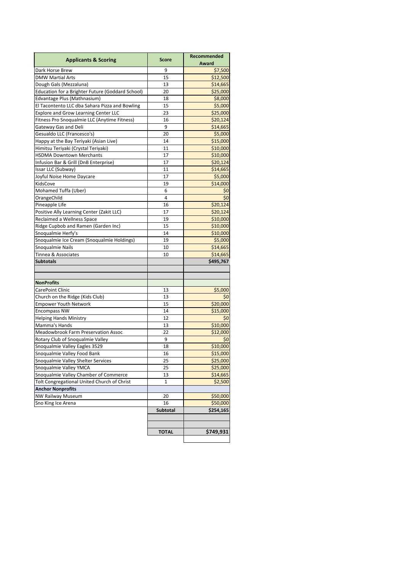| <b>Applicants &amp; Scoring</b>                  | <b>Score</b>    | <b>Recommended</b> |
|--------------------------------------------------|-----------------|--------------------|
|                                                  |                 | <b>Award</b>       |
| Dark Horse Brew                                  | 9               | \$7,500            |
| <b>DMW Martial Arts</b>                          | 15              | \$12,500           |
| Dough Gals (Mezzaluna)                           | 13              | \$14,665           |
| Education for a Brighter Future (Goddard School) | 20              | \$25,000           |
| Edvantage Plus (Mathnasium)                      | 18              | \$8,000            |
| El Tacontento LLC dba Sahara Pizza and Bowling   | 15              | \$5,000            |
| <b>Explore and Grow Learning Center LLC</b>      | 23              | \$25,000           |
| Fitness Pro Snoqualmie LLC (Anytime Fitness)     | 16              | \$20,124           |
| Gateway Gas and Deli                             | 9               | \$14,665           |
| Gesualdo LLC (Francesco's)                       | 20              | \$5,000            |
| Happy at the Bay Teriyaki (Asian Live)           | 14              | \$15,000           |
| Himitsu Teriyaki (Crystal Teriyaki)              | 11              | \$10,000           |
| <b>HSDMA Downtown Merchants</b>                  | 17              | \$10,000           |
| Infusion Bar & Grill (DnB Enterprise)            | 17              | \$20,124           |
| Issar LLC (Subway)                               | 11              | \$14,665           |
| Joyful Noise Home Daycare                        | 17              | \$5,000            |
| KidsCove                                         | 19              | \$14,000           |
| Mohamed Tuffa (Uber)                             | 6               | \$0                |
| OrangeChild                                      | 4               | \$0                |
| Pineapple Life                                   | 16              | \$20,124           |
| Positive Ally Learning Center (Zakit LLC)        | 17              | \$20,124           |
| Reclaimed a Wellness Space                       | 19              | \$10,000           |
| Ridge Cupbob and Ramen (Garden Inc)              | 15              | \$10,000           |
| Snoqualmie Herfy's                               | 14              | \$10,000           |
| Snoqualmie Ice Cream (Snoqualmie Holdings)       | 19              | \$5,000            |
| Snoqualmie Nails                                 | 10              | \$14,665           |
| Tinnea & Associates                              | 10              | \$14,665           |
| <b>Subtotals</b>                                 |                 | \$495,767          |
|                                                  |                 |                    |
| <b>NonProfits</b>                                |                 |                    |
| CarePoint Clinic                                 | 13              | \$5,000            |
| Church on the Ridge (Kids Club)                  | 13              | \$0                |
| <b>Empower Youth Network</b>                     | 15              | \$20,000           |
| <b>Encompass NW</b>                              | 14              | \$15,000           |
| <b>Helping Hands Ministry</b>                    | 12              | \$0                |
| Mamma's Hands                                    | 13              | \$10,000           |
| <b>Meadowbrook Farm Preservation Assoc</b>       | 22              | \$12,000           |
| Rotary Club of Snoqualmie Valley                 | 9               | \$0                |
| Snoqualmie Valley Eagles 3529                    | 18              | \$10,000           |
| Snoqualmie Valley Food Bank                      | 16              | \$15,000           |
| Snoqualmie Valley Shelter Services               | 25              | \$25,000           |
| Snoqualmie Valley YMCA                           | 25              | \$25,000           |
| Snoqualmie Valley Chamber of Commerce            | 13              | \$14,665           |
| Tolt Congregational United Church of Christ      | $\mathbf{1}$    | \$2,500            |
| <b>Anchor Nonprofits</b>                         |                 |                    |
| <b>NW Railway Museum</b>                         | 20              | \$50,000           |
| Sno King Ice Arena                               | 16              | \$50,000           |
|                                                  | <b>Subtotal</b> | \$254,165          |
|                                                  |                 |                    |
|                                                  |                 |                    |
|                                                  | <b>TOTAL</b>    | \$749,931          |

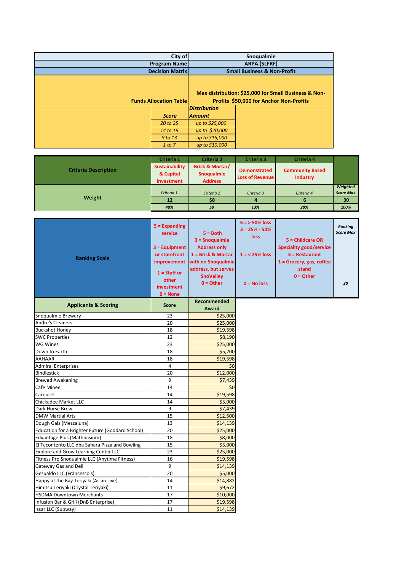| City of                |                               | Snoqualmie                              |                                                      |
|------------------------|-------------------------------|-----------------------------------------|------------------------------------------------------|
| <b>Program Name</b>    |                               | <b>ARPA (SLFRF)</b>                     |                                                      |
| <b>Decision Matrix</b> |                               | <b>Small Business &amp; Non-Profit</b>  |                                                      |
|                        |                               |                                         | Max distribution: \$25,000 for Small Business & Non- |
|                        | <b>Funds Allocation Table</b> | Profits \$50,000 for Anchor Non-Profits |                                                      |
|                        |                               | <b>Distribution</b>                     |                                                      |
|                        | <b>Score</b>                  | <b>Amount</b>                           |                                                      |
|                        | 20 to 25                      | up to \$25,000                          |                                                      |
|                        | 14 to 19                      | up to \$20,000                          |                                                      |
| 8 to 13                |                               | up to \$15,000                          |                                                      |
|                        | 1 to 7                        | up to \$10,000                          |                                                      |

|                             | Criteria 1                                       | <b>Criteria 2</b>                                                 | <b>Criteria 3</b>                             | <b>Criteria 4</b>                         |                  |
|-----------------------------|--------------------------------------------------|-------------------------------------------------------------------|-----------------------------------------------|-------------------------------------------|------------------|
| <b>Criteria Description</b> | <b>Sustainability</b><br>& Capital<br>Investment | <b>Brick &amp; Mortar/</b><br><b>Snoqualmie</b><br><b>Address</b> | <b>Demonstrated</b><br><b>Loss of Revenue</b> | <b>Community Based</b><br><b>Industry</b> |                  |
|                             |                                                  |                                                                   |                                               |                                           | Weighted         |
| Weight                      | Criteria 1                                       | Criteria 2                                                        | Criteria 3                                    | Criteria 4                                | <b>Score Max</b> |
|                             | 12                                               | \$8                                                               | 4                                             | ь                                         | 30               |
|                             | 40%                                              | \$0                                                               | 13%                                           | 20%                                       | 100%             |

| <b>Ranking Scale</b>                             | $5 =$ Expanding<br>service<br>$3 =$ Equipment<br>or storefront<br>improvement<br>$1 =$ Staff or<br>other<br>investment<br>$0 = None$ | $5 = Both$<br>$3 =$ Snoqualmie<br><b>Address only</b><br>$1 =$ Brick & Mortar<br>with no Snoqualmie<br>address, but serves<br><b>SnoValley</b><br>$0 = Other$ | $5 = 50\%$ loss<br>$3 = 25% - 50%$<br><b>loss</b><br>$1 = 25\%$ loss<br>$0 = No$ loss | 5 = Childcare OR<br><b>Speciality good/service</b><br>$3 =$ Restaurant<br>$1 =$ Grocery, gas, coffee<br>stand<br>$0 = Other$ | <b>Ranking</b><br><b>Score Max</b><br>20 |
|--------------------------------------------------|--------------------------------------------------------------------------------------------------------------------------------------|---------------------------------------------------------------------------------------------------------------------------------------------------------------|---------------------------------------------------------------------------------------|------------------------------------------------------------------------------------------------------------------------------|------------------------------------------|
| <b>Applicants &amp; Scoring</b>                  | <b>Score</b>                                                                                                                         | <b>Recommended</b><br>Award                                                                                                                                   |                                                                                       |                                                                                                                              |                                          |
| Snoqualmie Brewery                               | 23                                                                                                                                   | \$25,000                                                                                                                                                      |                                                                                       |                                                                                                                              |                                          |
| <b>Andre's Cleaners</b>                          | 20                                                                                                                                   | \$25,000                                                                                                                                                      |                                                                                       |                                                                                                                              |                                          |
| <b>Buckshot Honey</b>                            | 18                                                                                                                                   | \$19,598                                                                                                                                                      |                                                                                       |                                                                                                                              |                                          |
| <b>SWC Properties</b>                            | 12                                                                                                                                   | \$8,190                                                                                                                                                       |                                                                                       |                                                                                                                              |                                          |
| <b>WG Wines</b>                                  | 23                                                                                                                                   | \$25,000                                                                                                                                                      |                                                                                       |                                                                                                                              |                                          |
| Down to Earth                                    | 18                                                                                                                                   | \$5,200                                                                                                                                                       |                                                                                       |                                                                                                                              |                                          |
| <b>AAHAAR</b>                                    | 18                                                                                                                                   | \$19,598                                                                                                                                                      |                                                                                       |                                                                                                                              |                                          |
| <b>Admiral Enterprises</b>                       | 4                                                                                                                                    | \$0                                                                                                                                                           |                                                                                       |                                                                                                                              |                                          |
| <b>Bindlestick</b>                               | 20                                                                                                                                   | \$12,000                                                                                                                                                      |                                                                                       |                                                                                                                              |                                          |
| <b>Brewed Awakening</b>                          | 9                                                                                                                                    | \$7,439                                                                                                                                                       |                                                                                       |                                                                                                                              |                                          |
| <b>Cafe Minee</b>                                | 14                                                                                                                                   | \$0                                                                                                                                                           |                                                                                       |                                                                                                                              |                                          |
| Carousel                                         | 14                                                                                                                                   | \$19,598                                                                                                                                                      |                                                                                       |                                                                                                                              |                                          |
| Chickadee Market LLC                             | 14                                                                                                                                   | \$5,000                                                                                                                                                       |                                                                                       |                                                                                                                              |                                          |
| Dark Horse Brew                                  | 9                                                                                                                                    | \$7,439                                                                                                                                                       |                                                                                       |                                                                                                                              |                                          |
| <b>DMW Martial Arts</b>                          | 15                                                                                                                                   | \$12,500                                                                                                                                                      |                                                                                       |                                                                                                                              |                                          |
| Dough Gals (Mezzaluna)                           | 13                                                                                                                                   | \$14,139                                                                                                                                                      |                                                                                       |                                                                                                                              |                                          |
| Education for a Brighter Future (Goddard School) | 20                                                                                                                                   | \$25,000                                                                                                                                                      |                                                                                       |                                                                                                                              |                                          |
| Edvantage Plus (Mathnasium)                      | 18                                                                                                                                   | \$8,000                                                                                                                                                       |                                                                                       |                                                                                                                              |                                          |
| El Tacontento LLC dba Sahara Pizza and Bowling   | 15                                                                                                                                   | \$5,000                                                                                                                                                       |                                                                                       |                                                                                                                              |                                          |
| <b>Explore and Grow Learning Center LLC</b>      | 23                                                                                                                                   | \$25,000                                                                                                                                                      |                                                                                       |                                                                                                                              |                                          |
| Fitness Pro Snoqualmie LLC (Anytime Fitness)     | 16                                                                                                                                   | \$19,598                                                                                                                                                      |                                                                                       |                                                                                                                              |                                          |
| <b>Gateway Gas and Deli</b>                      | 9                                                                                                                                    | \$14,139                                                                                                                                                      |                                                                                       |                                                                                                                              |                                          |
| Gesualdo LLC (Francesco's)                       | 20                                                                                                                                   | \$5,000                                                                                                                                                       |                                                                                       |                                                                                                                              |                                          |
| Happy at the Bay Teriyaki (Asian Live)           | 14                                                                                                                                   | \$14,882                                                                                                                                                      |                                                                                       |                                                                                                                              |                                          |
| Himitsu Teriyaki (Crystal Teriyaki)              | 11                                                                                                                                   | \$9,672                                                                                                                                                       |                                                                                       |                                                                                                                              |                                          |
| <b>HSDMA Downtown Merchants</b>                  | 17                                                                                                                                   | \$10,000                                                                                                                                                      |                                                                                       |                                                                                                                              |                                          |
| Infusion Bar & Grill (DnB Enterprise)            | 17                                                                                                                                   | \$19,598                                                                                                                                                      |                                                                                       |                                                                                                                              |                                          |
| Issar LLC (Subway)                               | 11                                                                                                                                   | \$14,139                                                                                                                                                      |                                                                                       |                                                                                                                              |                                          |